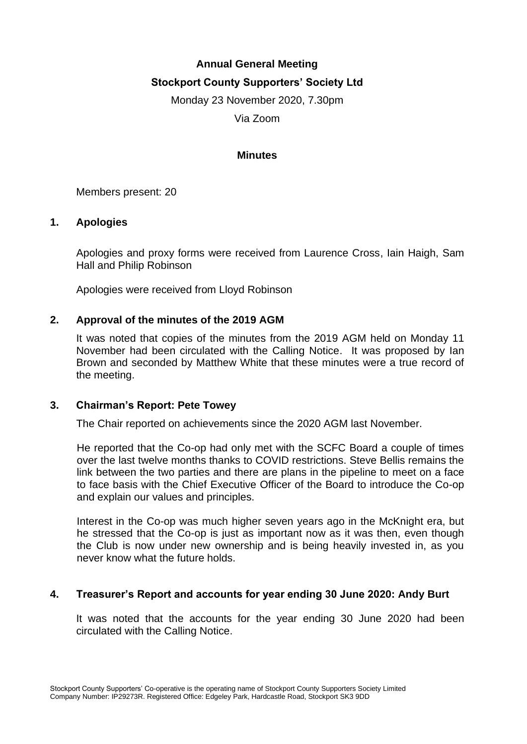# **Annual General Meeting Stockport County Supporters' Society Ltd**

Monday 23 November 2020, 7.30pm

Via Zoom

## **Minutes**

Members present: 20

# **1. Apologies**

Apologies and proxy forms were received from Laurence Cross, Iain Haigh, Sam Hall and Philip Robinson

Apologies were received from Lloyd Robinson

# **2. Approval of the minutes of the 2019 AGM**

It was noted that copies of the minutes from the 2019 AGM held on Monday 11 November had been circulated with the Calling Notice. It was proposed by Ian Brown and seconded by Matthew White that these minutes were a true record of the meeting.

### **3. Chairman's Report: Pete Towey**

The Chair reported on achievements since the 2020 AGM last November.

He reported that the Co-op had only met with the SCFC Board a couple of times over the last twelve months thanks to COVID restrictions. Steve Bellis remains the link between the two parties and there are plans in the pipeline to meet on a face to face basis with the Chief Executive Officer of the Board to introduce the Co-op and explain our values and principles.

Interest in the Co-op was much higher seven years ago in the McKnight era, but he stressed that the Co-op is just as important now as it was then, even though the Club is now under new ownership and is being heavily invested in, as you never know what the future holds.

### **4. Treasurer's Report and accounts for year ending 30 June 2020: Andy Burt**

It was noted that the accounts for the year ending 30 June 2020 had been circulated with the Calling Notice.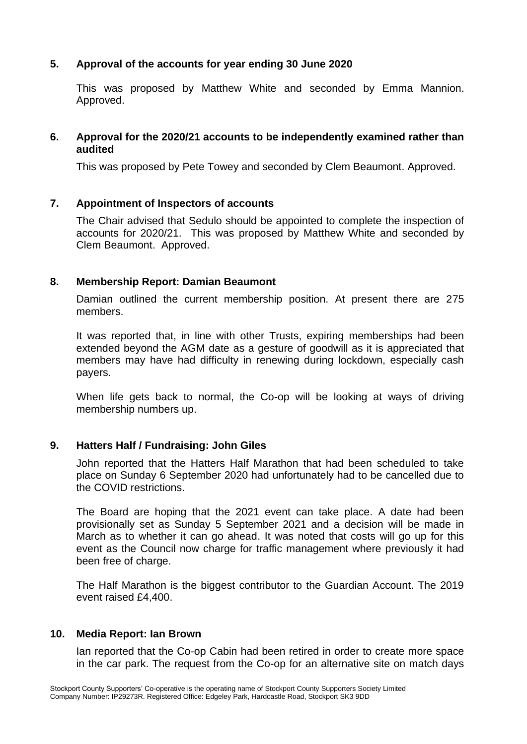# **5. Approval of the accounts for year ending 30 June 2020**

This was proposed by Matthew White and seconded by Emma Mannion. Approved.

## **6. Approval for the 2020/21 accounts to be independently examined rather than audited**

This was proposed by Pete Towey and seconded by Clem Beaumont. Approved.

# **7. Appointment of Inspectors of accounts**

The Chair advised that Sedulo should be appointed to complete the inspection of accounts for 2020/21. This was proposed by Matthew White and seconded by Clem Beaumont. Approved.

# **8. Membership Report: Damian Beaumont**

Damian outlined the current membership position. At present there are 275 members.

It was reported that, in line with other Trusts, expiring memberships had been extended beyond the AGM date as a gesture of goodwill as it is appreciated that members may have had difficulty in renewing during lockdown, especially cash payers.

When life gets back to normal, the Co-op will be looking at ways of driving membership numbers up.

### **9. Hatters Half / Fundraising: John Giles**

John reported that the Hatters Half Marathon that had been scheduled to take place on Sunday 6 September 2020 had unfortunately had to be cancelled due to the COVID restrictions.

The Board are hoping that the 2021 event can take place. A date had been provisionally set as Sunday 5 September 2021 and a decision will be made in March as to whether it can go ahead. It was noted that costs will go up for this event as the Council now charge for traffic management where previously it had been free of charge.

The Half Marathon is the biggest contributor to the Guardian Account. The 2019 event raised £4,400.

### **10. Media Report: Ian Brown**

Ian reported that the Co-op Cabin had been retired in order to create more space in the car park. The request from the Co-op for an alternative site on match days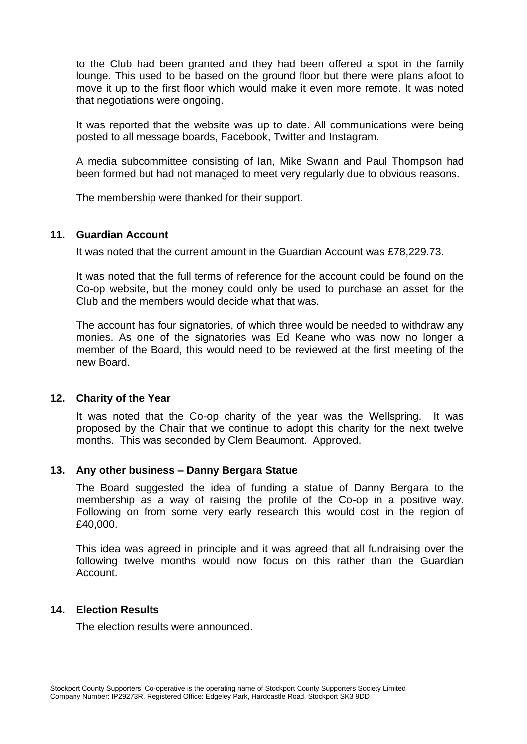to the Club had been granted and they had been offered a spot in the family lounge. This used to be based on the ground floor but there were plans afoot to move it up to the first floor which would make it even more remote. It was noted that negotiations were ongoing.

It was reported that the website was up to date. All communications were being posted to all message boards, Facebook, Twitter and Instagram.

A media subcommittee consisting of Ian, Mike Swann and Paul Thompson had been formed but had not managed to meet very regularly due to obvious reasons.

The membership were thanked for their support.

#### **11. Guardian Account**

It was noted that the current amount in the Guardian Account was £78,229.73.

It was noted that the full terms of reference for the account could be found on the Co-op website, but the money could only be used to purchase an asset for the Club and the members would decide what that was.

The account has four signatories, of which three would be needed to withdraw any monies. As one of the signatories was Ed Keane who was now no longer a member of the Board, this would need to be reviewed at the first meeting of the new Board.

#### **12. Charity of the Year**

It was noted that the Co-op charity of the year was the Wellspring. It was proposed by the Chair that we continue to adopt this charity for the next twelve months. This was seconded by Clem Beaumont. Approved.

### **13. Any other business – Danny Bergara Statue**

The Board suggested the idea of funding a statue of Danny Bergara to the membership as a way of raising the profile of the Co-op in a positive way. Following on from some very early research this would cost in the region of £40,000.

This idea was agreed in principle and it was agreed that all fundraising over the following twelve months would now focus on this rather than the Guardian Account.

### **14. Election Results**

The election results were announced.